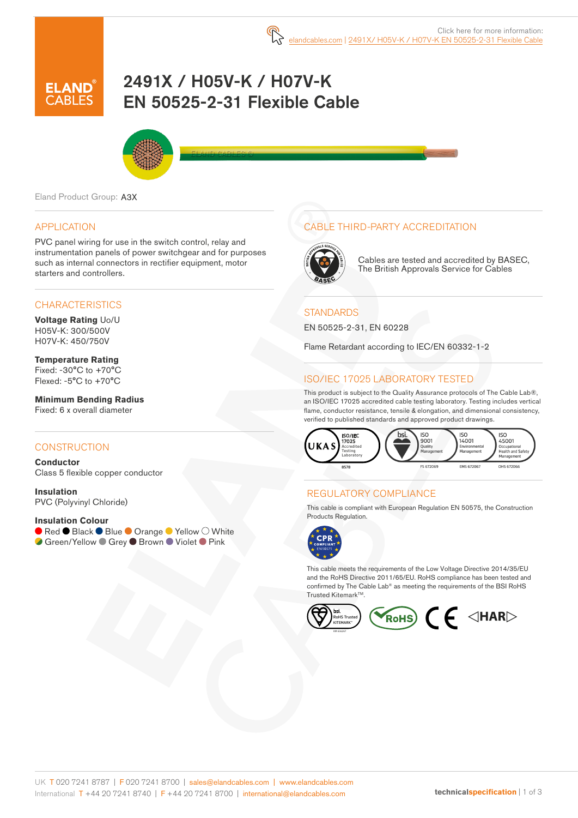

# 2491X / H05V-K / H07V-K EN 50525-2-31 Flexible Cable



Eland Product Group: A3X

### APPLICATION

PVC panel wiring for use in the switch control, relay and instrumentation panels of power switchgear and for purposes such as internal connectors in rectifier equipment, motor starters and controllers.

### **CHARACTERISTICS**

**Voltage Rating** Uo/U H05V-K: 300/500V H07V-K: 450/750V

**Temperature Rating** Fixed: -30°C to +70°C Flexed: -5°C to +70°C

**Minimum Bending Radius**  Fixed: 6 x overall diameter

#### **CONSTRUCTION**

**Conductor** Class 5 flexible copper conductor

**Insulation** PVC (Polyvinyl Chloride)

#### **Insulation Colour**

● Red ● Black ● Blue ● Orange ● Yellow ○ White **Green/Yellow Grey ● Brown ● Violet ● Pink** 

### CABLE THIRD-PARTY ACCREDITATION



Cables are tested and accredited by BASEC, The British Approvals Service for Cables

### **STANDARDS**

EN 50525-2-31, EN 60228

Flame Retardant according to IEC/EN 60332-1-2

## ISO/IEC 17025 LABORATORY TESTED

This product is subject to the Quality Assurance protocols of The Cable Lab®, an ISO/IEC 17025 accredited cable testing laboratory. Testing includes vertical flame, conductor resistance, tensile & elongation, and dimensional consistency, verified to published standards and approved product drawings.



### REGULATORY COMPLIANCE

This cable is compliant with European Regulation EN 50575, the Construction Products Regulation.



This cable meets the requirements of the Low Voltage Directive 2014/35/EU and the RoHS Directive 2011/65/EU. RoHS compliance has been tested and confirmed by The Cable Lab® as meeting the requirements of the BSI RoHS Trusted Kitemark<sup>™</sup>.

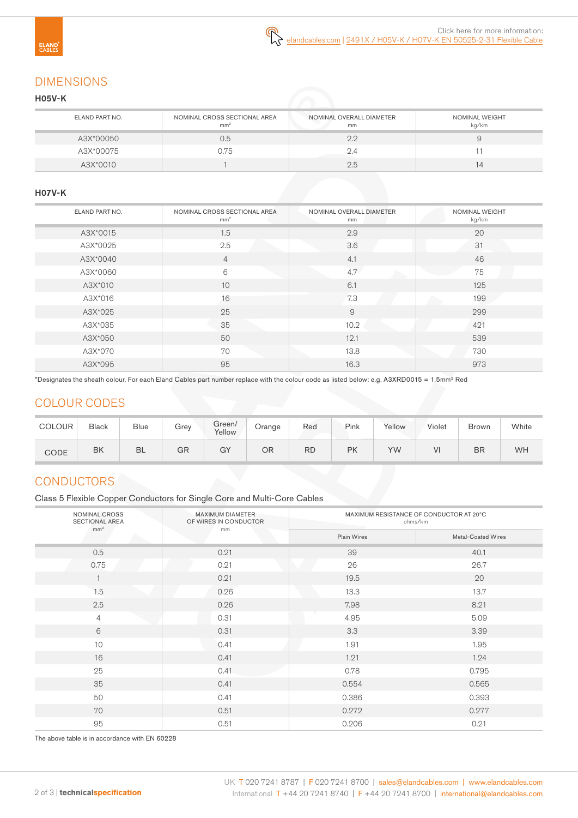# DIMENSIONS

### H05V-K

| ELAND PART NO. | NOMINAL CROSS SECTIONAL AREA<br>mm <sup>2</sup> | NOMINAL OVERALL DIAMETER<br>mm | <b>NOMINAL WEIGHT</b><br>kg/km |
|----------------|-------------------------------------------------|--------------------------------|--------------------------------|
| A3X*00050      | 0.5                                             | 2.2                            |                                |
| A3X*00075      | 0.75                                            |                                |                                |
| A3X*0010       |                                                 | 2.5                            | 14                             |

#### H07V-K

| ELAND PART NO. | NOMINAL CROSS SECTIONAL AREA<br>mm <sup>2</sup> | NOMINAL OVERALL DIAMETER<br>mm | NOMINAL WEIGHT<br>kg/km |
|----------------|-------------------------------------------------|--------------------------------|-------------------------|
| A3X*0015       | 1.5                                             | 2.9                            | 20                      |
| A3X*0025       | 2.5                                             | 3.6                            | 31                      |
| A3X*0040       | $\overline{4}$                                  | 4.1                            | 46                      |
| A3X*0060       | 6                                               | 4.7<br>n.                      | 75                      |
| A3X*010        | 10                                              | 6.1                            | 125                     |
| A3X*016        | 16                                              | 7.3                            | 199                     |
| A3X*025        | 25                                              | 9                              | 299                     |
| A3X*035        | 35                                              | 10.2                           | 421                     |
| A3X*050        | 50                                              | 12.1                           | 539                     |
| A3X*070        | 70                                              | 13.8                           | 730                     |
| A3X*095        | 95                                              | 16.3                           | 973                     |

\*Designates the sheath colour. For each Eland Cables part number replace with the colour code as listed below: e.g. A3XRD0015 = 1.5mm² Red

# COLOUR CODES

| <b>COLOUR</b> | <b>Black</b> | <b>Blue</b> | Grey | Green/<br>Yellow | Orange | Red       | Pink      | Yellow | Violet | <b>Brown</b> | White |
|---------------|--------------|-------------|------|------------------|--------|-----------|-----------|--------|--------|--------------|-------|
| CODE          | BK           | <b>BL</b>   | GR   | GY               | ΟR     | <b>RD</b> | <b>PK</b> | YW     | VI     | <b>BR</b>    | WH    |

# **CONDUCTORS**

Class 5 Flexible Copper Conductors for Single Core and Multi-Core Cables

| NOMINAL CROSS<br><b>SECTIONAL AREA</b><br>mm <sup>2</sup> | <b>MAXIMUM DIAMETER</b><br>OF WIRES IN CONDUCTOR | MAXIMUM RESISTANCE OF CONDUCTOR AT 20°C<br>ohms/km |                    |  |  |  |
|-----------------------------------------------------------|--------------------------------------------------|----------------------------------------------------|--------------------|--|--|--|
|                                                           | mm                                               | Plain Wires                                        | Metal-Coated Wires |  |  |  |
| 0.5                                                       | 0.21                                             | 39                                                 | 40.1               |  |  |  |
| 0.75                                                      | 0.21                                             | 26                                                 | 26.7               |  |  |  |
|                                                           | 0.21                                             | 19.5                                               | 20                 |  |  |  |
| 1.5                                                       | 0.26                                             | 13.3                                               | 13.7               |  |  |  |
| 2.5                                                       | 0.26                                             | 7.98                                               | 8.21               |  |  |  |
| $\overline{4}$                                            | 0.31                                             | 4.95                                               | 5.09               |  |  |  |
| 6                                                         | 0.31                                             | 3.3                                                | 3.39               |  |  |  |
| 10                                                        | 0.41                                             | 1.91                                               | 1.95               |  |  |  |
| 16                                                        | 0.41                                             | 1.21                                               | 1.24               |  |  |  |
| 25                                                        | 0.41                                             | 0.78                                               | 0.795              |  |  |  |
| 35                                                        | 0.41                                             | 0.554                                              | 0.565              |  |  |  |
| 50                                                        | 0.41                                             | 0.386                                              | 0.393              |  |  |  |
| 70                                                        | 0.51                                             | 0.272                                              | 0.277              |  |  |  |
| 95                                                        | 0.51                                             | 0.206                                              | 0.21               |  |  |  |

The above table is in accordance with EN 60228